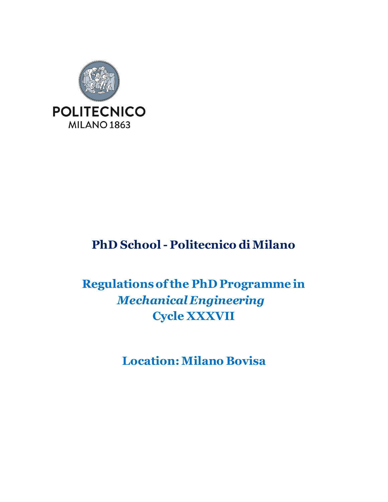

# **PhD School - Politecnico di Milano**

# **Regulations of the PhD Programme in** *Mechanical Engineering* **Cycle XXXVII**

**Location: Milano Bovisa**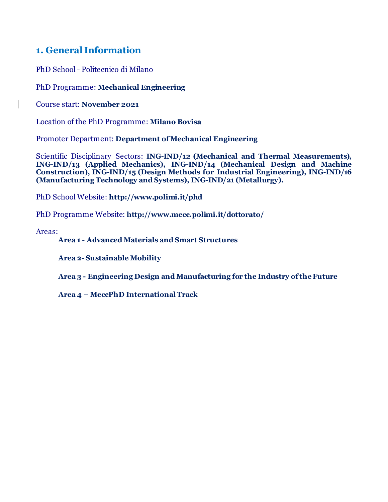## **1. General Information**

PhD School - Politecnico di Milano

PhD Programme: **Mechanical Engineering**

Course start: **November 2021**

Location of the PhD Programme: **Milano Bovisa**

Promoter Department: **Department of Mechanical Engineering**

Scientific Disciplinary Sectors: **ING-IND/12 (Mechanical and Thermal Measurements), ING-IND/13 (Applied Mechanics), ING-IND/14 (Mechanical Design and Machine Construction), ING-IND/15 (Design Methods for Industrial Engineering), ING-IND/16 (Manufacturing Technology and Systems), ING-IND/21 (Metallurgy).**

PhD School Website: **<http://www.polimi.it/phd>**

PhD Programme Website: **http://www.mecc.polimi.it/dottorato/**

Areas:

 $\mathbf{I}$ 

### **Area 1 - Advanced Materials and Smart Structures**

**Area 2- Sustainable Mobility**

**Area 3 - Engineering Design and Manufacturing for the Industry of the Future**

**Area 4 – MeccPhD International Track**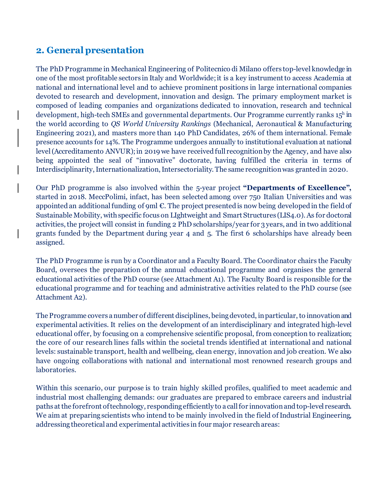# **2. General presentation**

The PhD Programme in Mechanical Engineering of Politecnico di Milano offers top-level knowledge in one of the most profitable sectors in Italy and Worldwide; it is a key instrument to access Academia at national and international level and to achieve prominent positions in large international companies devoted to research and development, innovation and design. The primary employment market is composed of leading companies and organizations dedicated to innovation, research and technical development, high-tech SMEs and governmental departments. Our Programme currently ranks  $15<sup>h</sup>$  in the world according to *QS World University Rankings* (Mechanical, Aeronautical & Manufacturing Engineering 2021), and masters more than 140 PhD Candidates, 26% of them international. Female presence accounts for 14%. The Programme undergoes annually to institutional evaluation at national level (Accreditamento ANVUR); in 2019 we have received full recognition by the Agency, and have also being appointed the seal of "innovative" doctorate, having fulfilled the criteria in terms of Interdisciplinarity, Internationalization, Intersectoriality. The same recognition was granted in 2020.

Our PhD programme is also involved within the 5-year project **"Departments of Excellence",** started in 2018. MeccPolimi, infact, has been selected among over 750 Italian Universities and was appointed an additional funding of 9ml  $\epsilon$ . The project presented is now being developed in the field of Sustainable Mobility, with specific focus on LIghtweight and Smart Structures (LIS4.0). As for doctoral activities, the project will consist in funding 2 PhD scholarships/year for 3 years, and in two additional grants funded by the Department during year 4 and 5. The first 6 scholarships have already been assigned.

The PhD Programme is run by a Coordinator and a Faculty Board. The Coordinator chairs the Faculty Board, oversees the preparation of the annual educational programme and organises the general educational activities of the PhD course (see Attachment A1). The Faculty Board is responsible for the educational programme and for teaching and administrative activities related to the PhD course (see Attachment A2).

The Programme covers a number of different disciplines, being devoted, in particular, to innovation and experimental activities. It relies on the development of an interdisciplinary and integrated high-level educational offer, by focusing on a comprehensive scientific proposal, from conception to realization; the core of our research lines falls within the societal trends identified at international and national levels: sustainable transport, health and wellbeing, clean energy, innovation and job creation. We also have ongoing collaborations with national and international most renowned research groups and laboratories.

Within this scenario, our purpose is to train highly skilled profiles, qualified to meet academic and industrial most challenging demands: our graduates are prepared to embrace careers and industrial paths at the forefront of technology, responding efficiently to a call for innovation and top-level research. We aim at preparing scientists who intend to be mainly involved in the field of Industrial Engineering, addressing theoretical and experimental activities in four major research areas: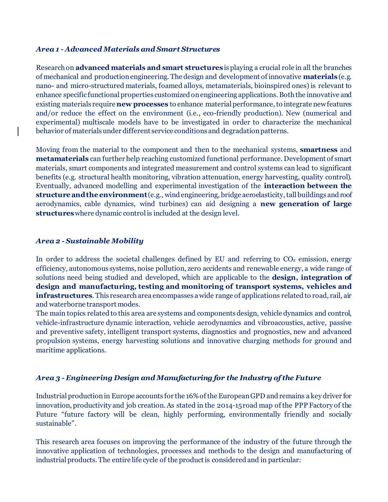#### *Area 1 - Advanced Materials and Smart Structures*

Research on **advanced materials and smart structures** is playing a crucial role in all the branches of mechanical and production engineering. The design and development of innovative **materials** (e.g. nano- and micro-structured materials, foamed alloys, metamaterials, bioinspired ones) is relevant to enhance specific functional properties customized on engineering applications. Both the innovative and existing materials require **new processes** to enhance material performance, to integrate new features and/or reduce the effect on the environment (i.e., eco-friendly production). New (numerical and experimental) multiscale models have to be investigated in order to characterize the mechanical behavior of materials under different service conditions and degradation patterns.

Moving from the material to the component and then to the mechanical systems, **smartness** and **metamaterials** can further help reaching customized functional performance. Development of smart materials, smart components and integrated measurement and control systems can lead to significant benefits (e.g. structural health monitoring, vibration attenuation, energy harvesting, quality control). Eventually, advanced modelling and experimental investigation of the **interaction between the structure and the environment**(e.g., wind engineering, bridge aeroelasticity, tall buildings and roof aerodynamics, cable dynamics, wind turbines) can aid designing a **new generation of large structures**where dynamic control is included at the design level.

#### *Area 2 - Sustainable Mobility*

In order to address the societal challenges defined by EU and referring to  $CO<sub>2</sub>$  emission, energy efficiency, autonomous systems, noise pollution, zero accidents and renewable energy, a wide range of solutions need being studied and developed, which are applicable to the **design, integration of design and manufacturing, testing and monitoring of transport systems, vehicles and infrastructures**. This research area encompasses a wide range of applications related to road, rail, air and waterborne transport modes.

The main topics related to this area are systems and components design, vehicle dynamics and control, vehicle-infrastructure dynamic interaction, vehicle aerodynamics and vibroacoustics, active, passive and preventive safety, intelligent transport systems, diagnostics and prognostics, new and advanced propulsion systems, energy harvesting solutions and innovative charging methods for ground and maritime applications.

#### *Area 3 - Engineering Design and Manufacturing for the Industry of the Future*

Industrial production in Europe accounts for the 16% of the European GPD and remains a key driver for innovation, productivity and job creation. As stated in the 2014-15 road map of the PPP Factory of the Future "future factory will be clean, highly performing, environmentally friendly and socially sustainable".

This research area focuses on improving the performance of the industry of the future through the innovative application of technologies, processes and methods to the design and manufacturing of industrial products. The entire life cycle of the product is considered and in particular: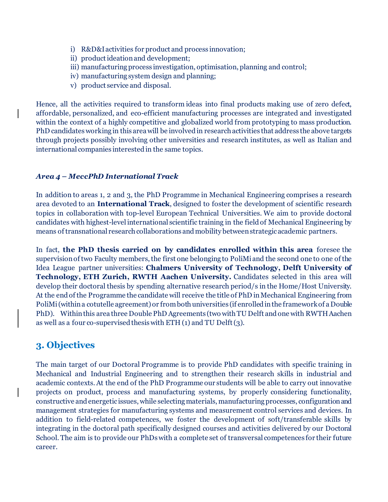- i) R&D&I activities for product and process innovation;
- ii) product ideation and development;
- iii) manufacturing process investigation, optimisation, planning and control;
- iv) manufacturing system design and planning;
- v) product service and disposal.

Hence, all the activities required to transform ideas into final products making use of zero defect, affordable, personalized, and eco-efficient manufacturing processes are integrated and investigated within the context of a highly competitive and globalized world from prototyping to mass production. PhD candidates working in this area will be involved in research activities that address the above targets through projects possibly involving other universities and research institutes, as well as Italian and international companies interested in the same topics.

#### *Area 4 – MeccPhD International Track*

In addition to areas 1, 2 and 3, the PhD Programme in Mechanical Engineering comprises a research area devoted to an **International Track**, designed to foster the development of scientific research topics in collaboration with top-level European Technical Universities. We aim to provide doctoral candidates with highest-level international scientific training in the field of Mechanical Engineering by means of transnational research collaborations and mobility between strategic academic partners.

In fact, **the PhD thesis carried on by candidates enrolled within this area** foresee the supervision of two Faculty members, the first one belonging to PoliMi and the second one to one of the Idea League partner universities: **Chalmers University of Technology, Delft University of Technology, ETH Zurich, RWTH Aachen University.** Candidates selected in this area will develop their doctoral thesis by spending alternative research period/s in the Home/Host University. At the end of the Programme the candidate will receive the title of PhD in Mechanical Engineering from PoliMi(within a cotutelle agreement) or from both universities (if enrolled in the framework of a Double PhD). Within this area three Double PhD Agreements (two with TU Delft and one with RWTH Aachen as well as a four co-supervised thesis with ETH (1) and TU Delft (3).

## **3. Objectives**

 $\mathsf{l}$ 

 $\mathsf{l}$ 

The main target of our Doctoral Programme is to provide PhD candidates with specific training in Mechanical and Industrial Engineering and to strengthen their research skills in industrial and academic contexts. At the end of the PhD Programme our students will be able to carry out innovative projects on product, process and manufacturing systems, by properly considering functionality, constructive and energetic issues, while selecting materials, manufacturing processes, configuration and management strategies for manufacturing systems and measurement control services and devices. In addition to field-related competences, we foster the development of soft/transferable skills by integrating in the doctoral path specifically designed courses and activities delivered by our Doctoral School. The aim is to provide our PhDs with a complete set of transversal competences for their future career.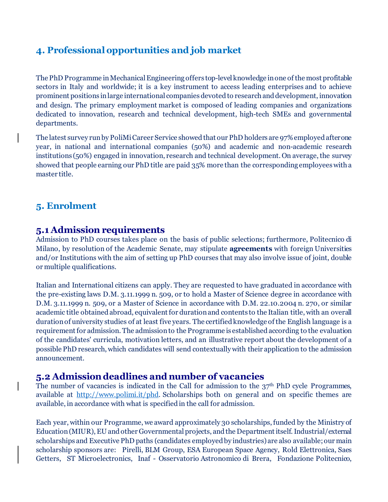# **4. Professional opportunities and job market**

The PhD Programme in Mechanical Engineering offers top-level knowledge in one of the most profitable sectors in Italy and worldwide; it is a key instrument to access leading enterprises and to achieve prominent positions in large international companies devoted to research and development, innovation and design. The primary employment market is composed of leading companies and organizations dedicated to innovation, research and technical development, high-tech SMEs and governmental departments.

The latest survey run by PoliMi Career Service showed that our PhD holders are 97% employed after one year, in national and international companies (50%) and academic and non-academic research institutions (50%) engaged in innovation, research and technical development. On average, the survey showed that people earning our PhD title are paid 35% more than the corresponding employees with a master title.

## **5. Enrolment**

 $\mathsf{l}$ 

 $\mathsf{l}$ 

## **5.1 Admission requirements**

Admission to PhD courses takes place on the basis of public selections; furthermore, Politecnico di Milano, by resolution of the Academic Senate, may stipulate **agreements** with foreign Universities and/or Institutions with the aim of setting up PhD courses that may also involve issue of joint, double or multiple qualifications.

Italian and International citizens can apply. They are requested to have graduated in accordance with the pre-existing laws D.M. 3.11.1999 n. 509, or to hold a Master of Science degree in accordance with D.M. 3.11.1999 n. 509, or a Master of Science in accordance with D.M. 22.10.2004 n. 270, or similar academic title obtained abroad, equivalent for duration and contents to the Italian title, with an overall duration of university studies of at least five years. The certified knowledge of the English language is a requirement for admission. The admission to the Programme is established according to the evaluation of the candidates' curricula, motivation letters, and an illustrative report about the development of a possible PhD research, which candidates will send contextually with their application to the admission announcement.

## **5.2 Admission deadlines and number of vacancies**

The number of vacancies is indicated in the Call for admission to the  $37<sup>th</sup>$  PhD cycle Programmes, available at <http://www.polimi.it/phd>. Scholarships both on general and on specific themes are available, in accordance with what is specified in the call for admission.

Each year, within our Programme, we award approximately 30 scholarships, funded by the Ministry of Education (MIUR), EU and other Governmental projects, and the Department itself. Industrial/external scholarships and Executive PhD paths (candidates employed by industries) are also available; our main scholarship sponsors are: Pirelli, BLM Group, ESA European Space Agency, Rold Elettronica, Saes Getters, ST Microelectronics, Inaf - Osservatorio Astronomico di Brera, Fondazione Politecnico,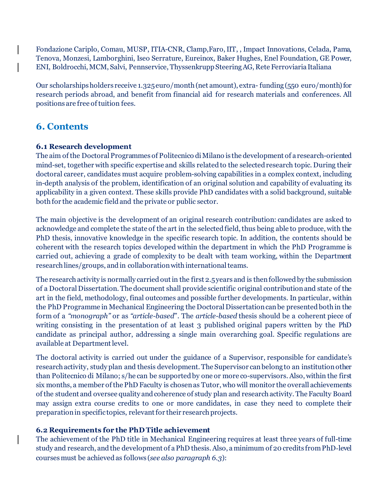Fondazione Cariplo, Comau, MUSP, ITIA-CNR, Clamp,Faro, IIT, , Impact Innovations, Celada, Pama, Tenova, Monzesi, Lamborghini, Iseo Serrature, Eureinox, Baker Hughes, Enel Foundation, GE Power, ENI, Boldrocchi, MCM, Salvi, Pennservice, Thyssenkrupp Steering AG, Rete Ferroviaria Italiana

Our scholarships holders receive 1.325 euro/month (net amount), extra- funding (550 euro/month) for research periods abroad, and benefit from financial aid for research materials and conferences. All positions are free of tuition fees.

# **6. Contents**

## **6.1 Research development**

The aim of the Doctoral Programmes of Politecnico di Milano is the development of a research-oriented mind-set, together with specific expertise and skills related to the selected research topic. During their doctoral career, candidates must acquire problem-solving capabilities in a complex context, including in-depth analysis of the problem, identification of an original solution and capability of evaluating its applicability in a given context. These skills provide PhD candidates with a solid background, suitable both for the academic field and the private or public sector.

The main objective is the development of an original research contribution: candidates are asked to acknowledge and complete the state of the art in the selected field, thus being able to produce, with the PhD thesis, innovative knowledge in the specific research topic. In addition, the contents should be coherent with the research topics developed within the department in which the PhD Programme is carried out, achieving a grade of complexity to be dealt with team working, within the Department research lines/groups, and in collaboration with international teams.

The research activity is normally carried out in the first 2.5 years and is then followed by the submission of a Doctoral Dissertation. The document shall provide scientific original contribution and state of the art in the field, methodology, final outcomes and possible further developments. In particular, within the PhD Programme in Mechanical Engineering the Doctoral Dissertation can be presented both in the form of a *"monograph"* or as *"article-based*". The *article-based* thesis should be a coherent piece of writing consisting in the presentation of at least 3 published original papers written by the PhD candidate as principal author, addressing a single main overarching goal. Specific regulations are available at Department level.

The doctoral activity is carried out under the guidance of a Supervisor, responsible for candidate's research activity, study plan and thesis development. The Supervisor can belong to an institution other than Politecnico di Milano; s/he can be supported by one or more co-supervisors. Also, within the first six months, a member of the PhD Faculty is chosen as Tutor, who will monitor the overall achievements of the student and oversee quality and coherence of study plan and research activity. The Faculty Board may assign extra course credits to one or more candidates, in case they need to complete their preparation in specific topics, relevant for their research projects.

## **6.2 Requirements for the PhD Title achievement**

The achievement of the PhD title in Mechanical Engineering requires at least three years of full-time study and research, and the development of a PhD thesis. Also, aminimum of 20 credits from PhD-level courses must be achieved as follows (*see also paragraph 6.3*):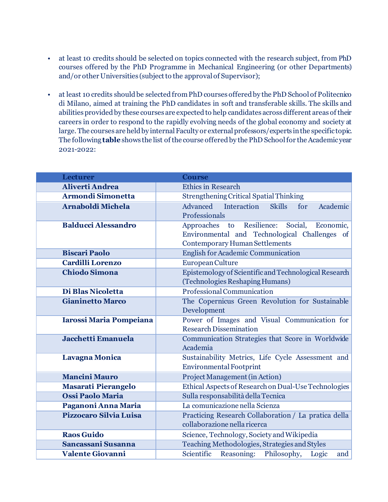- at least 10 credits should be selected on topics connected with the research subject, from PhD courses offered by the PhD Programme in Mechanical Engineering (or other Departments) and/or other Universities (subject to the approval of Supervisor);
- at least 10 credits should be selected from PhD courses offered by the PhD School of Politecnico di Milano, aimed at training the PhD candidates in soft and transferable skills. The skills and abilities provided by these courses are expected to help candidates across different areas of their careers in order to respond to the rapidly evolving needs of the global economy and society at large. The courses are held by internal Faculty or external professors/experts in the specific topic. The following **table**shows the list of the course offered by the PhD School for the Academic year 2021-2022:

| <b>Lecturer</b>                | <b>Course</b>                                                  |  |  |
|--------------------------------|----------------------------------------------------------------|--|--|
| <b>Aliverti Andrea</b>         | <b>Ethics in Research</b>                                      |  |  |
| <b>Armondi Simonetta</b>       | <b>Strengthening Critical Spatial Thinking</b>                 |  |  |
| <b>Arnaboldi Michela</b>       | Advanced<br>Interaction<br>Academic<br><b>Skills</b><br>for    |  |  |
|                                | Professionals                                                  |  |  |
| <b>Balducci Alessandro</b>     | Resilience:<br>Social,<br>Approaches to<br>Economic,           |  |  |
|                                | Environmental and Technological Challenges of                  |  |  |
|                                | Contemporary Human Settlements                                 |  |  |
| <b>Biscari Paolo</b>           | English for Academic Communication                             |  |  |
| <b>Cardilli Lorenzo</b>        | European Culture                                               |  |  |
| <b>Chiodo Simona</b>           | Epistemology of Scientific and Technological Research          |  |  |
|                                | (Technologies Reshaping Humans)                                |  |  |
| Di Blas Nicoletta              | Professional Communication                                     |  |  |
| <b>Gianinetto Marco</b>        | The Copernicus Green Revolution for Sustainable                |  |  |
|                                | Development                                                    |  |  |
| <b>Iarossi Maria Pompeiana</b> | Power of Images and Visual Communication for                   |  |  |
|                                | <b>Research Dissemination</b>                                  |  |  |
| Jacchetti Emanuela             | Communication Strategies that Score in Worldwide               |  |  |
|                                | Academia                                                       |  |  |
| <b>Lavagna Monica</b>          | Sustainability Metrics, Life Cycle Assessment and              |  |  |
|                                | <b>Environmental Footprint</b>                                 |  |  |
| <b>Mancini Mauro</b>           | Project Management (in Action)                                 |  |  |
| <b>Masarati Pierangelo</b>     | Ethical Aspects of Research on Dual-Use Technologies           |  |  |
| <b>Ossi Paolo Maria</b>        | Sulla responsabilità della Tecnica                             |  |  |
| Paganoni Anna Maria            | La comunicazione nella Scienza                                 |  |  |
| <b>Pizzocaro Silvia Luisa</b>  | Practicing Research Collaboration / La pratica della           |  |  |
|                                | collaborazione nella ricerca                                   |  |  |
| <b>Raos Guido</b>              | Science, Technology, Society and Wikipedia                     |  |  |
| Sancassani Susanna             | Teaching Methodologies, Strategies and Styles                  |  |  |
| <b>Valente Giovanni</b>        | Scientific<br>Philosophy,<br><b>Reasoning:</b><br>Logic<br>and |  |  |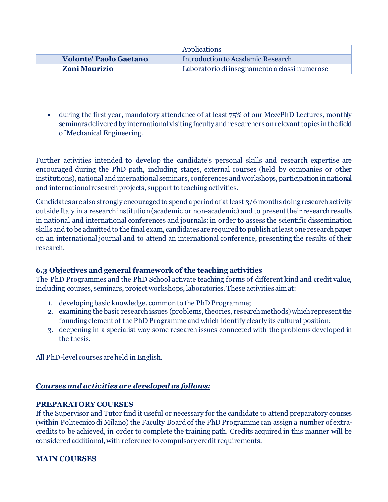|                               | Applications                                  |
|-------------------------------|-----------------------------------------------|
| <b>Volonte' Paolo Gaetano</b> | Introduction to Academic Research             |
| <b>Zani Maurizio</b>          | Laboratorio di insegnamento a classi numerose |

• during the first year, mandatory attendance of at least 75% of our MeccPhD Lectures, monthly seminars delivered by international visiting faculty and researchers on relevant topics in the field of Mechanical Engineering.

Further activities intended to develop the candidate's personal skills and research expertise are encouraged during the PhD path, including stages, external courses (held by companies or other institutions), national and international seminars, conferences and workshops, participation in national and international research projects, support to teaching activities.

Candidates are also strongly encouraged to spend a period of at least 3/6 months doing research activity outside Italy in a research institution (academic or non-academic) and to present their research results in national and international conferences and journals: in order to assess the scientific dissemination skills and to be admitted to the final exam, candidates are required to publish at least one research paper on an international journal and to attend an international conference, presenting the results of their research.

## **6.3 Objectives and general framework of the teaching activities**

The PhD Programmes and the PhD School activate teaching forms of different kind and credit value, including courses, seminars, project workshops, laboratories. These activities aim at:

- 1. developing basic knowledge, common to the PhD Programme;
- 2. examining the basic research issues (problems, theories, research methods) which represent the founding element of the PhD Programme and which identify clearly its cultural position;
- 3. deepening in a specialist way some research issues connected with the problems developed in the thesis.

All PhD-level courses are held in English.

### *Courses and activities are developed as follows:*

### **PREPARATORY COURSES**

If the Supervisor and Tutor find it useful or necessary for the candidate to attend preparatory courses (within Politecnico di Milano) the Faculty Board of the PhD Programme can assign a number of extracredits to be achieved, in order to complete the training path. Credits acquired in this manner will be considered additional, with reference to compulsory credit requirements.

### **MAIN COURSES**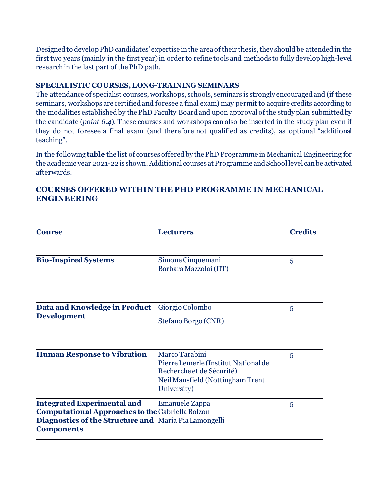Designed to develop PhD candidates' expertise in the area of their thesis, they should be attended in the first two years (mainly in the first year) in order to refine tools and methods to fully develop high-level research in the last part of the PhD path.

### **SPECIALISTIC COURSES, LONG-TRAINING SEMINARS**

The attendance of specialist courses, workshops, schools, seminars is strongly encouraged and (if these seminars, workshops are certified and foresee a final exam) may permit to acquire credits according to the modalities established by the PhD Faculty Board and upon approval of the study plan submitted by the candidate (*point 6.4*). These courses and workshops can also be inserted in the study plan even if they do not foresee a final exam (and therefore not qualified as credits), as optional "additional teaching".

In the following **table** the list of courses offered by the PhD Programme in Mechanical Engineering for the academic year 2021-22 is shown. Additional courses at Programme and School level can be activated afterwards.

| <b>Course</b>                                                                                                                                                               | <b>Lecturers</b>                                                                                                                       | <b>Credits</b> |
|-----------------------------------------------------------------------------------------------------------------------------------------------------------------------------|----------------------------------------------------------------------------------------------------------------------------------------|----------------|
| <b>Bio-Inspired Systems</b>                                                                                                                                                 | Simone Cinquemani<br>Barbara Mazzolai (IIT)                                                                                            | 5              |
| Data and Knowledge in Product<br><b>Development</b>                                                                                                                         | Giorgio Colombo<br>Stefano Borgo (CNR)                                                                                                 | 5              |
| <b>Human Response to Vibration</b>                                                                                                                                          | Marco Tarabini<br>Pierre Lemerle (Institut National de<br>Recherche et de Sécurité)<br>Neil Mansfield (Nottingham Trent<br>University) | 5              |
| <b>Integrated Experimental and</b><br><b>Computational Approaches to the Gabriella Bolzon</b><br>Diagnostics of the Structure and Maria Pia Lamongelli<br><b>Components</b> | <b>Emanuele Zappa</b>                                                                                                                  | 5              |

## **COURSES OFFERED WITHIN THE PHD PROGRAMME IN MECHANICAL ENGINEERING**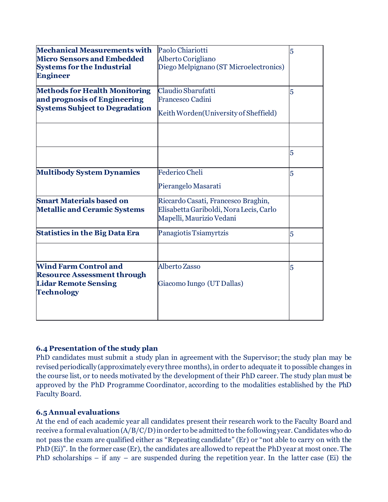| <b>Mechanical Measurements with</b><br><b>Micro Sensors and Embedded</b><br><b>Systems for the Industrial</b><br><b>Engineer</b> | Paolo Chiariotti<br>Alberto Corigliano<br>Diego Melpignano (ST Microelectronics)                           | 5<br>5 |
|----------------------------------------------------------------------------------------------------------------------------------|------------------------------------------------------------------------------------------------------------|--------|
| <b>Methods for Health Monitoring</b><br>and prognosis of Engineering<br><b>Systems Subject to Degradation</b>                    | Claudio Sbarufatti<br><b>Francesco Cadini</b><br>Keith Worden(University of Sheffield)                     |        |
|                                                                                                                                  |                                                                                                            | 5      |
| <b>Multibody System Dynamics</b>                                                                                                 | <b>Federico Cheli</b><br>Pierangelo Masarati                                                               | 5      |
| <b>Smart Materials based on</b><br><b>Metallic and Ceramic Systems</b>                                                           | Riccardo Casati, Francesco Braghin,<br>Elisabetta Gariboldi, Nora Lecis, Carlo<br>Mapelli, Maurizio Vedani |        |
| <b>Statistics in the Big Data Era</b>                                                                                            | Panagiotis Tsiamyrtzis                                                                                     | 5      |
| <b>Wind Farm Control and</b><br><b>Resource Assessment through</b><br><b>Lidar Remote Sensing</b><br><b>Technology</b>           | Alberto Zasso<br>Giacomo Iungo (UT Dallas)                                                                 | 5      |

### **6.4 Presentation of the study plan**

PhD candidates must submit a study plan in agreement with the Supervisor; the study plan may be revised periodically (approximately every three months), in order to adequate it to possible changes in the course list, or to needs motivated by the development of their PhD career. The study plan must be approved by the PhD Programme Coordinator, according to the modalities established by the PhD Faculty Board.

#### **6.5 Annual evaluations**

At the end of each academic year all candidates present their research work to the Faculty Board and receive a formal evaluation (A/B/C/D) in order to be admitted to the following year.Candidates who do not pass the exam are qualified either as "Repeating candidate" (Er) or "not able to carry on with the PhD (Ei)". In the former case (Er), the candidates are allowed to repeat the PhD year at most once. The PhD scholarships – if any – are suspended during the repetition year. In the latter case (Ei) the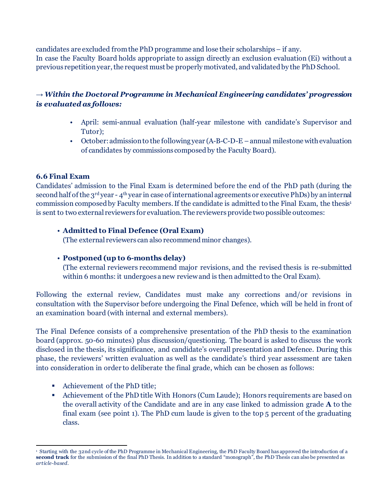candidates are excluded from the PhD programme and lose their scholarships – if any. In case the Faculty Board holds appropriate to assign directly an exclusion evaluation (Ei) without a previous repetition year, the request must be properly motivated, and validated by the PhD School.

## *→ Within the Doctoral Programme in Mechanical Engineering candidates' progression is evaluated as follows:*

- April: semi-annual evaluation (half-year milestone with candidate's Supervisor and Tutor);
- October: admission to the following year (A-B-C-D-E –annual milestone with evaluation of candidates by commissions composed by the Faculty Board).

### **6.6 Final Exam**

Candidates' admission to the Final Exam is determined before the end of the PhD path (during the second half of the  $3^{rd}$  year - 4<sup>th</sup> year in case of international agreements or executive PhDs) by an internal commission composed by Faculty members. If the candidate is admitted to the Final Exam, the thesis[1](#page-12-0) is sent to two external reviewers for evaluation. The reviewers provide two possible outcomes:

### • **Admitted to Final Defence (Oral Exam)**

(The external reviewers can also recommend minor changes).

## • **Postponed (up to 6-months delay)**

(The external reviewers recommend major revisions, and the revised thesis is re-submitted within 6 months: it undergoes a new review and is then admitted to the Oral Exam).

Following the external review, Candidates must make any corrections and/or revisions in consultation with the Supervisor before undergoing the Final Defence, which will be held in front of an examination board (with internal and external members).

The Final Defence consists of a comprehensive presentation of the PhD thesis to the examination board (approx. 50-60 minutes) plus discussion/questioning. The board is asked to discuss the work disclosed in the thesis, its significance, and candidate's overall presentation and Defence. During this phase, the reviewers' written evaluation as well as the candidate's third year assessment are taken into consideration in order to deliberate the final grade, which can be chosen as follows:

- Achievement of the PhD title;
- Achievement of the PhD title With Honors (Cum Laude); Honors requirements are based on the overall activity of the Candidate and are in any case linked to admission grade **A** to the final exam (see point 1). The PhD cum laude is given to the top 5 percent of the graduating class.

<sup>1</sup> Starting with the 32nd cycle of the PhD Programme in Mechanical Engineering, the PhD Faculty Board has approved the introduction of a **second track** for the submission of the final PhD Thesis. In addition to a standard "monograph", the PhD Thesis can also be presented as *article-based*.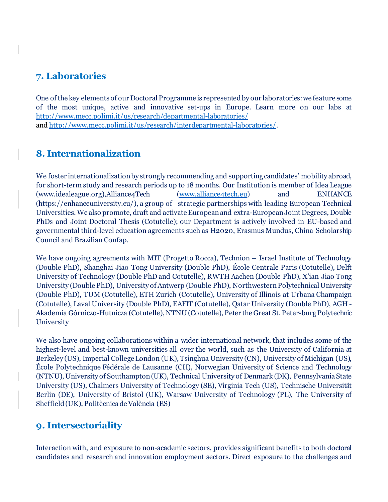## **7. Laboratories**

One of the key elements of our Doctoral Programme is represented by our laboratories: we feature some of the most unique, active and innovative set-ups in Europe. Learn more on our labs at <http://www.mecc.polimi.it/us/research/departmental-laboratories/> an[d http://www.mecc.polimi.it/us/research/interdepartmental-laboratories/](http://www.mecc.polimi.it/us/research/interdepartmental-laboratories/).

## **8. Internationalization**

We foster internationalization by strongly recommending and supporting candidates' mobility abroad, for short-term study and research periods up to 18 months. Our Institution is member of Idea League (www.idealeague.org),Alliance4Tech [\(www.alliance4tech.eu\)](http://www.alliance4tech.eu/) and ENHANCE (https://enhanceuniversity.eu/), a group of strategic partnerships with leading European Technical Universities. We also promote, draft and activate European and extra-European Joint Degrees, Double PhDs and Joint Doctoral Thesis (Cotutelle); our Department is actively involved in EU-based and governmental third-level education agreements such as H2020, Erasmus Mundus, China Scholarship Council and Brazilian Confap.

We have ongoing agreements with MIT (Progetto Rocca), Technion – Israel Institute of Technology (Double PhD), Shanghai Jiao Tong University (Double PhD), École Centrale Paris (Cotutelle), Delft University of Technology (Double PhD and Cotutelle), RWTH Aachen (Double PhD), X'ian Jiao Tong University (Double PhD), University of Antwerp (Double PhD), Northwestern Polytechnical University (Double PhD), TUM (Cotutelle), ETH Zurich (Cotutelle), University of Illinois at Urbana Champaign (Cotutelle), Laval University (Double PhD), EAFIT (Cotutelle), Qatar University (Double PhD), AGH - Akademia Górniczo-Hutnicza (Cotutelle), NTNU (Cotutelle), Peter the Great St. Petersburg Polytechnic **University** 

We also have ongoing collaborations within a wider international network, that includes some of the highest-level and best-known universities all over the world, such as the University of California at Berkeley (US), Imperial College London (UK), Tsinghua University (CN), University of Michigan (US), École Polytechnique Fédérale de Lausanne (CH), Norwegian University of Science and Technology (NTNU), University of Southampton (UK), Technical University of Denmark (DK), Pennsylvania State University (US), Chalmers University of Technology (SE), Virginia Tech (US), Technische Universität Berlin (DE), University of Bristol (UK), Warsaw University of Technology (PL), The University of Sheffield (UK), Politècnica de València (ES)

## **9. Intersectoriality**

<span id="page-12-0"></span>Interaction with, and exposure to non-academic sectors, provides significant benefits to both doctoral candidates and research and innovation employment sectors. Direct exposure to the challenges and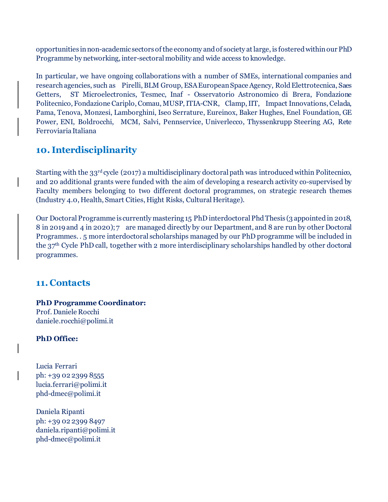opportunities in non-academic sectors of the economy andof society at large, is fostered within our PhD Programme by networking, inter-sectoral mobility and wide access to knowledge.

In particular, we have ongoing collaborations with a number of SMEs, international companies and research agencies, such as Pirelli, BLM Group, ESA European Space Agency, Rold Elettrotecnica, Saes Getters, ST Microelectronics, Tesmec, Inaf - Osservatorio Astronomico di Brera, Fondazione Politecnico, Fondazione Cariplo, Comau, MUSP, ITIA-CNR, Clamp,IIT, Impact Innovations, Celada, Pama, Tenova, Monzesi, Lamborghini, Iseo Serrature, Eureinox, Baker Hughes, Enel Foundation, GE Power, ENI, Boldrocchi, MCM, Salvi, Pennservice, Univerlecco, Thyssenkrupp Steering AG, Rete Ferroviaria Italiana

# **10. Interdisciplinarity**

Starting with the 33<sup>rd</sup> cycle (2017) a multidisciplinary doctoral path was introduced within Politecnico, and 20 additional grants were funded with the aim of developing a research activity co-supervised by Faculty members belonging to two different doctoral programmes, on strategic research themes (Industry 4.0, Health, Smart Cities, Hight Risks, Cultural Heritage).

Our Doctoral Programme is currently mastering 15 PhD interdoctoral Phd Thesis (3 appointedin 2018, 8 in 2019 and 4 in 2020); 7 are managed directly by our Department, and 8 are run by other Doctoral Programmes. . 5 more interdoctoral scholarships managed by our PhD programme will be included in the 37th Cycle PhD call, together with 2 more interdisciplinary scholarships handled by other doctoral programmes.

## **11. Contacts**

**PhD Programme Coordinator:** Prof. Daniele Rocchi [daniele.rocchi@polimi.it](mailto:daniele.rocchi@polimi.it)

### **PhD Office:**

Lucia Ferrari ph: +39 02 2399 8555 lucia.ferrari@polimi.it phd-dmec@polimi.it

Daniela Ripanti ph: +39 02 2399 8497 [daniela.ripanti@polimi.it](mailto:daniela.ripanti@polimi.it) [phd-dmec@polimi.it](mailto:phd-dmec@polimi.it)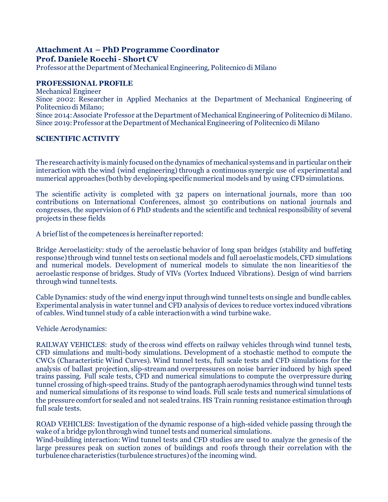# **Attachment A1 – PhD Programme Coordinator**

**Prof. Daniele Rocchi - Short CV**

Professor at the Department of Mechanical Engineering, Politecnico di Milano

#### **PROFESSIONAL PROFILE**

Mechanical Engineer

Since 2002: Researcher in Applied Mechanics at the Department of Mechanical Engineering of Politecnico di Milano;

Since 2014: Associate Professor at the Department of Mechanical Engineering of Politecnico di Milano. Since 2019: Professor at the Department of Mechanical Engineering of Politecnico di Milano

#### **SCIENTIFIC ACTIVITY**

The research activity is mainly focused on the dynamics of mechanical systems and in particular ontheir interaction with the wind (wind engineering) through a continuous synergic use of experimental and numerical approaches (both by developing specific numerical models and by using CFD simulations.

The scientific activity is completed with 32 papers on international journals, more than 100 contributions on International Conferences, almost 30 contributions on national journals and congresses, the supervision of 6 PhD students and the scientific and technical responsibility of several projects in these fields

A brief list of the competences is hereinafter reported:

Bridge Aeroelasticity: study of the aeroelastic behavior of long span bridges (stability and buffeting response) through wind tunnel tests on sectional models and full aeroelastic models, CFD simulations and numerical models. Development of numerical models to simulate the non linearities of the aeroelastic response of bridges. Study of VIVs (Vortex Induced Vibrations). Design of wind barriers through wind tunnel tests.

Cable Dynamics: study of the wind energy input through wind tunnel tests on single and bundle cables. Experimental analysis in water tunnel and CFD analysis of devices to reduce vortex induced vibrations of cables. Wind tunnel study of a cable interaction with a wind turbine wake.

Vehicle Aerodynamics:

RAILWAY VEHICLES: study of the cross wind effects on railway vehicles through wind tunnel tests, CFD simulations and multi-body simulations. Development of a stochastic method to compute the CWCs (Characteristic Wind Curves). Wind tunnel tests, full scale tests and CFD simulations for the analysis of ballast projection, slip-streamand overpressures on noise barrier induced by high speed trains passing. Full scale tests, CFD and numerical simulations to compute the overpressure during tunnel crossing of high-speed trains. Study of the pantograph aerodynamics through wind tunnel tests and numerical simulations of its response to wind loads. Full scale tests and numerical simulations of the pressure comfort for sealed and not sealed trains. HS Train running resistance estimation through full scale tests.

ROAD VEHICLES: Investigation of the dynamic response of a high-sided vehicle passing through the wake of a bridge pylon through wind tunnel tests and numerical simulations.

Wind-building interaction: Wind tunnel tests and CFD studies are used to analyze the genesis of the large pressures peak on suction zones of buildings and roofs through their correlation with the turbulence characteristics (turbulence structures) of the incoming wind.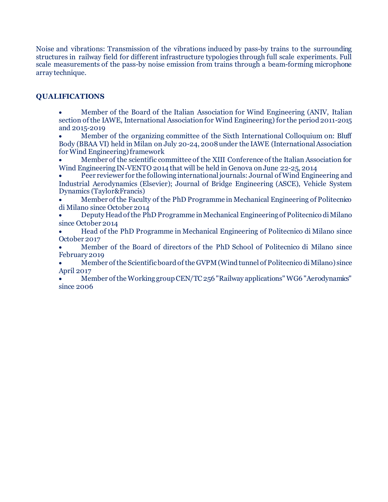Noise and vibrations: Transmission of the vibrations induced by pass-by trains to the surrounding structures in railway field for different infrastructure typologies through full scale experiments. Full scale measurements of the pass-by noise emission from trains through a beam-forming microphone array technique.

#### **QUALIFICATIONS**

• Member of the Board of the Italian Association for Wind Engineering (ANIV, Italian section of the IAWE, International Association for Wind Engineering) for the period 2011-2015 and 2015-2019

• Member of the organizing committee of the Sixth International Colloquium on: Bluff Body (BBAA VI) held in Milan on July 20-24, 2008 under the IAWE (International Association for Wind Engineering) framework

• Member of the scientific committee of the XIII Conference of the Italian Association for Wind Engineering IN-VENTO 2014 that will be held in Genova onJune 22-25, 2014

• Peer reviewer for the following international journals: Journal of Wind Engineering and Industrial Aerodynamics (Elsevier); Journal of Bridge Engineering (ASCE), Vehicle System Dynamics (Taylor&Francis)

• Member of the Faculty of the PhD Programme in Mechanical Engineering of Politecnico di Milano since October 2014

• Deputy Head of the PhD Programme in Mechanical Engineering of Politecnico di Milano since October 2014

• Head of the PhD Programme in Mechanical Engineering of Politecnico di Milano since October 2017

• Member of the Board of directors of the PhD School of Politecnico di Milano since February 2019

• Member of the Scientific board of the GVPM (Wind tunnel of Politecnico di Milano) since April 2017

• Member of the Working group CEN/TC 256 "Railway applications" WG6 "Aerodynamics" since 2006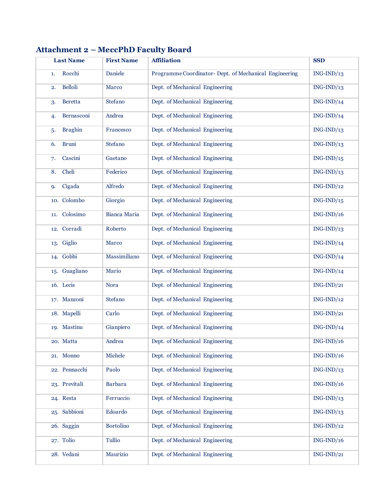|     | <b>Last Name</b> | <b>First Name</b> | <b>Affiliation</b>                                     | <b>SSD</b>   |
|-----|------------------|-------------------|--------------------------------------------------------|--------------|
| 1.  | Rocchi           | Daniele           | Programme Coordinator- Dept. of Mechanical Engineering | $ING-IND/13$ |
| 2.  | <b>Belloli</b>   | Marco             | Dept. of Mechanical Engineering                        | $ING-IND/13$ |
| 3.  | <b>Beretta</b>   | Stefano           | Dept. of Mechanical Engineering                        | $ING-IND/14$ |
| 4.  | Bernasconi       | Andrea            | Dept. of Mechanical Engineering                        | $ING-IND/14$ |
| 5.  | <b>Braghin</b>   | Francesco         | Dept. of Mechanical Engineering                        | $ING-IND/13$ |
| 6.  | <b>Bruni</b>     | Stefano           | Dept. of Mechanical Engineering                        | $ING-IND/13$ |
| 7.  | Cascini          | Gaetano           | Dept. of Mechanical Engineering                        | $ING-IND/15$ |
| 8.  | Cheli            | Federico          | Dept. of Mechanical Engineering                        | $ING-IND/13$ |
| 9.  | Cigada           | Alfredo           | Dept. of Mechanical Engineering                        | $ING-IND/12$ |
|     | 10. Colombo      | Giorgio           | Dept. of Mechanical Engineering                        | $ING-IND/15$ |
| 11. | Colosimo         | Bianca Maria      | Dept. of Mechanical Engineering                        | $ING-IND/16$ |
|     | 12. Corradi      | Roberto           | Dept. of Mechanical Engineering                        | $ING-IND/13$ |
| 13. | Giglio           | Marco             | Dept. of Mechanical Engineering                        | $ING-IND/14$ |
|     | 14. Gobbi        | Massimiliano      | Dept. of Mechanical Engineering                        | $ING-IND/14$ |
| 15. | Guagliano        | Mario             | Dept. of Mechanical Engineering                        | $ING-IND/14$ |
|     | 16. Lecis        | Nora              | Dept. of Mechanical Engineering                        | $ING-IND/21$ |
|     | 17. Manzoni      | Stefano           | Dept. of Mechanical Engineering                        | $ING-IND/12$ |
|     | 18. Mapelli      | Carlo             | Dept. of Mechanical Engineering                        | $ING-IND/21$ |
|     | 19. Mastinu      | Gianpiero         | Dept. of Mechanical Engineering                        | $ING-IND/14$ |
|     | 20. Matta        | Andrea            | Dept. of Mechanical Engineering                        | $ING-IND/16$ |
|     | 21. Monno        | Michele           | Dept. of Mechanical Engineering                        | $ING-IND/16$ |
|     | 22. Pennacchi    | Paolo             | Dept. of Mechanical Engineering                        | $ING-IND/13$ |
|     | 23. Previtali    | <b>Barbara</b>    | Dept. of Mechanical Engineering                        | $ING-IND/16$ |
|     | 24. Resta        | Ferruccio         | Dept. of Mechanical Engineering                        | $ING-IND/13$ |
|     | 25. Sabbioni     | Edoardo           | Dept. of Mechanical Engineering                        | $ING-IND/13$ |
|     | 26. Saggin       | <b>Bortolino</b>  | Dept. of Mechanical Engineering                        | $ING-IND/12$ |
|     | 27. Tolio        | Tullio            | Dept. of Mechanical Engineering                        | $ING-IND/16$ |
|     | 28. Vedani       | Maurizio          | Dept. of Mechanical Engineering                        | $ING-IND/21$ |

## **Attachment 2 – MeccPhD Faculty Board**